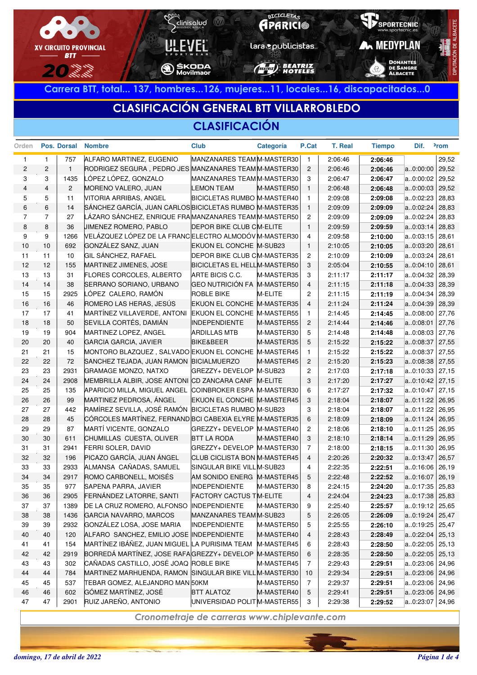

**Carrera BTT, total... 137, hombres...126, mujeres...11, locales...16, discapacitados...0**

# **CLASIFICACIÓN GENERAL BTT VILLARROBLEDO**

### **CLASIFICACIÓN**

| Orden                   |                | Pos. Dorsal    | <b>Nombre</b>                                           | <b>Club</b>                        | Categoría  | P.Cat          | <b>T. Real</b> | <b>Tiempo</b> | Dif.              | <sup>2</sup> rom |
|-------------------------|----------------|----------------|---------------------------------------------------------|------------------------------------|------------|----------------|----------------|---------------|-------------------|------------------|
| $\mathbf{1}$            | $\mathbf{1}$   | 757            | ALFARO MARTINEZ, EUGENIO                                | MANZANARES TEAMM-MASTER30          |            | $\overline{1}$ | 2:06:46        | 2:06:46       |                   | 29,52            |
| $\overline{\mathbf{c}}$ | $\mathbf{2}$   | $\mathbf{1}$   | RODRIGEZ SEGURA, PEDRO JES MANZANARES TEAM M-MASTER30   |                                    |            | $\overline{c}$ | 2:06:46        | 2:06:46       | a.0:00:00         | 29,52            |
| 3                       | 3              | 1435           | LÓPEZ LÓPEZ, GONZALO                                    | MANZANARES TEAM M-MASTER30         |            | 3              | 2:06:47        | 2:06:47       | a0:00:02          | 29,52            |
| $\overline{4}$          | $\overline{4}$ | $\overline{2}$ | MORENO VALERO, JUAN                                     | <b>LEMON TEAM</b>                  | M-MASTER50 | $\overline{1}$ | 2:06:48        | 2:06:48       | a0:00:03          | 29,52            |
| 5                       | 5              | 11             | VITORIA ARRIBAS, ANGEL                                  | BICICLETAS RUMBO M-MASTER40        |            | $\overline{1}$ | 2:09:08        | 2:09:08       | a0:02:23          | 28,83            |
| 6                       | 6              | 14             | SÁNCHEZ GARCÍA, JUAN CARLOS BICICLETAS RUMBO M-MASTER35 |                                    |            | $\overline{1}$ | 2:09:09        | 2:09:09       | a0:02:24          | 28,83            |
| $\overline{7}$          | $\overline{7}$ | 27             | LÁZARO SÁNCHEZ, ENRIQUE FRAMANZANARES TEAMM-MASTER50    |                                    |            | $\overline{c}$ | 2:09:09        | 2:09:09       | a0:02:24          | 28,83            |
| 8                       | 8              | 36             | JIMENEZ ROMERO, PABLO                                   | <b>DEPOR BIKE CLUB CM-ELITE</b>    |            | $\overline{1}$ | 2:09:59        | 2:09:59       | a0:03:14          | 28,83            |
| 9                       | 9              | 1266           | VELÁZQUEZ LÓPEZ DE LA FRANCELECTRO ALMODÓVM-MASTER30    |                                    |            | 4              | 2:09:58        | 2:10:00       | a0:03:15          | 28,61            |
| 10                      | 10             | 692            | GONZÁLEZ SANZ, JUAN                                     | EKUON EL CONCHE M-SUB23            |            | $\overline{1}$ | 2:10:05        | 2:10:05       | a0:03:20          | 28,61            |
| 11                      | 11             | 10             | GIL SÁNCHEZ, RAFAEL                                     | <b>DEPOR BIKE CLUB CM-MASTER35</b> |            | $\overline{c}$ | 2:10:09        | 2:10:09       | a0:03:24          | 28,61            |
| 12                      | 12             | 155            | MARTINEZ JIMENES, JOSE                                  | BICICLETAS EL HELLM-MASTER50       |            | 3              | 2:05:04        | 2:10:55       | a0:04:10          | 28,61            |
| 13                      | 13             | 31             | <b>FLORES CORCOLES, ALBERTO</b>                         | ARTE BICIS C.C.                    | M-MASTER35 | 3              | 2:11:17        | 2:11:17       | a0:04:32          | 28,39            |
| 14                      | 14             | 38             | SERRANO SORIANO, URBANO                                 | GEO NUTRICIÓN FA M-MASTER50        |            | $\overline{4}$ | 2:11:15        | 2:11:18       | a0:04:33          | 28,39            |
| 15                      | 15             | 2925           | LÓPEZ CALERO, RAMÓN                                     | <b>ROBLE BIKE</b>                  | M-ELITE    | $\overline{c}$ | 2:11:15        | 2:11:19       | a0:04:34          | 28,39            |
| 16                      | 16             | 46             | ROMERO LAS HERAS, JESÚS                                 | EKUON EL CONCHE M-MASTER35         |            | $\overline{4}$ | 2:11:24        | 2:11:24       | a0:04:39          | 28,39            |
| 17                      | 17             | 41             | MARTÍNEZ VILLAVERDE, ANTONI                             | EKUON EL CONCHE M-MASTER55         |            | $\overline{1}$ | 2:14:45        | 2:14:45       | a0:08:00          | 27,76            |
| 18                      | 18             | 50             | SEVILLA CORTÉS, DAMIÁN                                  | <b>INDEPENDIENTE</b>               | M-MASTER55 | $\overline{2}$ | 2:14:44        | 2:14:46       | a0:08:01          | 27,76            |
| 19                      | 19             | 904            | MARTINEZ LOPEZ, ANGEL                                   | <b>ARDILLAS MTB</b>                | M-MASTER30 | 5              | 2:14:48        | 2:14:48       | a0:08:03          | 27,76            |
| 20                      | 20             | 40             | <b>GARCIA GARCIA, JAVIER</b>                            | <b>BIKE&amp;BEER</b>               | M-MASTER35 | 5              | 2:15:22        | 2:15:22       | a0:08:37          | 27,55            |
| 21                      | 21             | 15             | MONTORO BLAZQUEZ, SALVADO EKUON EL CONCHE M-MASTER45    |                                    |            | $\mathbf{1}$   | 2:15:22        | 2:15:22       | a0:08:37          | 27,55            |
| 22                      | 22             | 72             | SANCHEZ TEJADA, JUAN RAMON BICIALMUERZO                 |                                    | M-MASTER45 | $\overline{2}$ | 2:15:20        | 2:15:23       | a0:08:38          | 27,55            |
| 23                      | 23             | 2931           | GRAMAGE MONZO, NATXO                                    | GREZZY+ DEVELOP   M-SUB23          |            | $\overline{c}$ | 2:17:03        | 2:17:18       | a0:10:33          | 27,15            |
| 24                      | 24             | 2908           | MEMBRILLA ALBIR, JOSE ANTONI CD ZANCARA CANF M-ELITE    |                                    |            | 3              | 2:17:20        | 2:17:27       | a0:10:42          | 27,15            |
| 25                      | 25             | 135            | APARICIO MILLA, MIGUEL ANGEL COINBROKER ESPA M-MASTER30 |                                    |            | 6              | 2:17:27        | 2:17:32       | a0:10:47          | 27,15            |
| 26                      | 26             | 99             | MARTINEZ PEDROSA, ÁNGEL                                 | EKUON EL CONCHE M-MASTER45         |            | 3              | 2:18:04        | 2:18:07       | a0:11:22          | 26,95            |
| 27                      | 27             | 442            | RAMÍREZ SEVILLA, JOSÉ RAMÓN BICICLETAS RUMBO M-SUB23    |                                    |            | 3              | 2:18:04        | 2:18:07       | $a.0:11:22$ 26,95 |                  |
| 28                      | 28             | 45             | CÓRCOLES MARTÍNEZ, FERNAND BCI CABEXIA ELYRE M-MASTER35 |                                    |            | 6              | 2:18:09        | 2:18:09       | a0:11:24          | 26,95            |
| 29                      | 29             | 87             | MARTÍ VICENTE, GONZALO                                  | GREZZY+ DEVELOP M-MASTER40         |            | $\overline{c}$ | 2:18:06        | 2:18:10       | a0:11:25          | 26,95            |
| 30                      | 30             | 611            | CHUMILLAS CUESTA, OLIVER                                | <b>BTT LA RODA</b>                 | M-MASTER40 | 3              | 2:18:10        | 2:18:14       | a0:11:29          | 26,95            |
| 31                      | 31             | 2941           | FERRI SOLER, DAVID                                      | GREZZY+ DEVELOP M-MASTER30         |            | $\overline{7}$ | 2:18:00        | 2:18:15       | a0:11:30          | 26,95            |
| 32                      | 32             | 196            | PICAZO GARCÍA, JUAN ÁNGEL                               | CLUB CICLISTA BON M-MASTER45       |            | $\overline{4}$ | 2:20:26        | 2:20:32       | a0:13:47          | 26,57            |
| 33                      | 33             | 2933           | ALMANSA CAÑADAS, SAMUEL                                 | SINGULAR BIKE VILL M-SUB23         |            | 4              | 2:22:35        | 2:22:51       | a0:16:06          | 26,19            |
| 34                      | 34             | 2917           | ROMO CARBONELL, MOISÉS                                  | AM SONIDO ENERG M-MASTER45         |            | 5              | 2:22:48        | 2:22:52       | a0:16:07          | 26,19            |
| 35                      | 35             | 977            | SAPENA PARRA, JAVIER                                    | <b>INDEPENDIENTE</b>               | M-MASTER30 | 8              | 2:24:15        | 2:24:20       | a0:17:35          | 25,83            |
| 36                      | 36             | 2905           | FERNÁNDEZ LATORRE, SANTI                                | <b>FACTORY CACTUS TM-ELITE</b>     |            | $\overline{4}$ | 2:24:04        | 2:24:23       | $a.0:17:38$ 25,83 |                  |
| 37                      | 37             | 1389           | DE LA CRUZ ROMERO, ALFONSO INDEPENDIENTE                |                                    | M-MASTER30 | 9              | 2:25:40        | 2:25:57       | $a.0:19:12$ 25,65 |                  |
| 38                      | 38             | 1436           | GARCIA NAVARRO, MARCOS                                  | MANZANARES TEAM M-SUB23            |            | 5              | 2:26:05        | 2:26:09       | $a.0:19:24$ 25,47 |                  |
| 39                      | 39             | 2932           | GONZÁLEZ LOSA, JOSE MARIA                               | <b>INDEPENDIENTE</b>               | M-MASTER50 | 5              | 2:25:55        | 2:26:10       | a0:19:25 25,47    |                  |
| 40                      | 40             | 120            | ALFARO SANCHEZ, EMILIO JOSE INDEPENDIENTE               |                                    | M-MASTER40 | 4              | 2:28:43        | 2:28:49       | a.0:22:04         | 25,13            |
| 41                      | 41             | 154            | MARTÍNEZ IBÁÑEZ, JUAN MIGUEL LA PURISIMA TEAM           |                                    | M-MASTER45 | 6              | 2:28:43        | 2:28:50       | $a.0:22:05$ 25,13 |                  |
| 42                      | 42             | 2919           | BORREDÁ MARTÍNEZ, JOSE RAFA GREZZY+ DEVELOP M-MASTER50  |                                    |            | 6              | 2:28:35        | 2:28:50       | a.0:22:05         | 25,13            |
| 43                      | 43             | 302            | CAÑADAS CASTILLO, JOSÉ JOAQ ROBLE BIKE                  |                                    | M-MASTER45 | $\overline{7}$ | 2:29:43        | 2:29:51       | $a.0:23:06$ 24,96 |                  |
| 44                      | 44             | 784            | MARTINEZ MARHUENDA, RAMON SINGULAR BIKE VILL M-MASTER30 |                                    |            | 10             | 2:29:34        | 2:29:51       | $a.0:23:06$ 24,96 |                  |
| 45                      | 45             | 537            | TEBAR GOMEZ, ALEJANDRO MAN 50KM                         |                                    | M-MASTER50 | 7              | 2:29:37        | 2:29:51       | a0:23:06 24,96    |                  |
| 46                      | 46             | 602            | GÓMEZ MARTÍNEZ, JOSÉ                                    | <b>BTT ALATOZ</b>                  | M-MASTER40 | 5              | 2:29:41        | 2:29:51       | $a.0:23:06$ 24,96 |                  |
| 47                      | 47             | 2901           | RUIZ JAREÑO, ANTONIO                                    | UNIVERSIDAD POLIT M-MASTER55       |            | 3              | 2:29:38        | 2:29:52       | a0:23:07 24,96    |                  |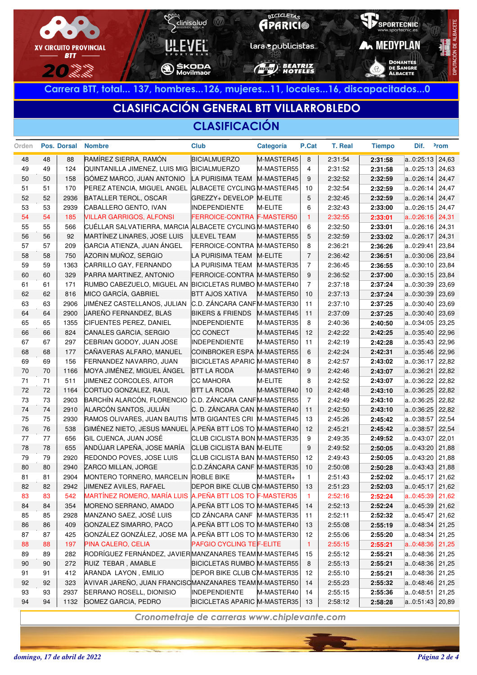

**Carrera BTT, total... 137, hombres...126, mujeres...11, locales...16, discapacitados...0**

### **CLASIFICACIÓN GENERAL BTT VILLARROBLEDO**

### **CLASIFICACIÓN**

| Orden |    | Pos. Dorsal | <b>Nombre</b>                                            | <b>Club</b>                  | Categoría      | P.Cat          | T. Real | <b>Tiempo</b> | Dif.              | <sup>2</sup> rom |
|-------|----|-------------|----------------------------------------------------------|------------------------------|----------------|----------------|---------|---------------|-------------------|------------------|
| 48    | 48 | 88          | RAMÍREZ SIERRA, RAMÓN                                    | <b>BICIALMUERZO</b>          | M-MASTER45     | 8              | 2:31:54 | 2:31:58       | a0:25:13          | 24,63            |
| 49    | 49 | 124         | QUINTANILLA JIMENEZ, LUIS MIG BICIALMUERZO               |                              | M-MASTER55     | $\overline{4}$ | 2:31:52 | 2:31:58       | a0:25:13          | 24,63            |
| 50    | 50 | 158         | GÓMEZ MARCO, JUAN ANTONIO                                | LA PURISIMA TEAM             | M-MASTER45     | 9              | 2:32:52 | 2:32:59       | a0:26:14          | 24,47            |
| 51    | 51 | 170         | PEREZ ATENCIA, MIGUEL ANGEL                              | ALBACETE CYCLING M-MASTER45  |                | 10             | 2:32:54 | 2:32:59       | a0:26:14          | 24,47            |
| 52    | 52 | 2936        | BATALLER TEROL, OSCAR                                    | GREZZY+ DEVELOP M-ELITE      |                | 5              | 2:32:45 | 2:32:59       | a0:26:14          | 24,47            |
| 53    | 53 | 2939        | CABALLERO GENTO, IVAN                                    | <b>INDEPENDIENTE</b>         | M-ELITE        | 6              | 2:32:43 | 2:33:00       | a0:26:15          | 24,47            |
| 54    | 54 | 185         | <b>VILLAR GARRIGOS, ALFONSI</b>                          | FERROICE-CONTRA F-MASTER50   |                | $\overline{1}$ | 2:32:55 | 2:33:01       | a.0:26:16         | 24,31            |
| 55    | 55 | 566         | CUÉLLAR SALVATIERRA, MARCIA ALBACETE CYCLING M-MASTER40  |                              |                | 6              | 2:32:50 | 2:33:01       | a0:26:16          | 24,31            |
| 56    | 56 | 92          | MARTÍNEZ LINARES, JOSE LUIS                              | <b>ULEVEL TEAM</b>           | M-MASTER55     | 5              | 2:32:59 | 2:33:02       | a0:26:17          | 24,31            |
| 57    | 57 | 209         | GARCIA ATIENZA, JUAN ÁNGEL                               | FERROICE-CONTRA M-MASTER50   |                | 8              | 2:36:21 | 2:36:26       | a0:29:41          | 23,84            |
| 58    | 58 | 750         | AZORIN MUÑOZ, SERGIO                                     | LA PURISIMA TEAM             | <b>M-ELITE</b> | $\overline{7}$ | 2:36:42 | 2:36:51       | a0:30:06          | 23,84            |
| 59    | 59 | 1363        | CARRILLO GAY, FERNANDO                                   | LA PURISIMA TEAM             | M-MASTER35     | $\overline{7}$ | 2:36:45 | 2:36:55       | a0:30:10          | 23,84            |
| 60    | 60 | 329         | PARRA MARTINEZ, ANTONIO                                  | FERROICE-CONTRA M-MASTER50   |                | 9              | 2:36:52 | 2:37:00       | a0:30:15          | 23,84            |
| 61    | 61 | 171         | RUMBO CABEZUELO, MIGUEL AN BICICLETAS RUMBO M-MASTER40   |                              |                | $\overline{7}$ | 2:37:18 | 2:37:24       | a0:30:39          | 23,69            |
| 62    | 62 | 816         | MICO GARCÍA, GABRIEL                                     | <b>BTT AJOS XATIVA</b>       | M-MASTER50     | 10             | 2:37:13 | 2:37:24       | a0:30:39          | 23,69            |
| 63    | 63 | 2906        | JIMÉNEZ CASTELLANOS, JULIAN                              | C.D. ZÁNCARA CANF M-MASTER30 |                | 11             | 2:37:10 | 2:37:25       | a0:30:40          | 23,69            |
| 64    | 64 | 2900        | JAREÑO FERNANDEZ, BLAS                                   | <b>BIKERS &amp; FRIENDS</b>  | M-MASTER45     | 11             | 2:37:09 | 2:37:25       | a0:30:40          | 23,69            |
| 65    | 65 | 1355        | CIFUENTES PEREZ, DANIEL                                  | <b>INDEPENDIENTE</b>         | M-MASTER35     | 8              | 2:40:36 | 2:40:50       | a0:34:05          | 23,25            |
| 66    | 66 | 824         | CANALES GARCIA, SERGIO                                   | CC CONECT                    | M-MASTER45     | 12             | 2:42:22 | 2:42:25       | a0:35:40          | 22,96            |
| 67    | 67 | 297         | CEBRIAN GODOY, JUAN JOSE                                 | <b>INDEPENDIENTE</b>         | M-MASTER50     | 11             | 2:42:19 | 2:42:28       | a0:35:43          | 22,96            |
| 68    | 68 | 177         | CAÑAVERAS ALFARO, MANUEL                                 | COINBROKER ESPA M-MASTER55   |                | 6              | 2:42:24 | 2:42:31       | a0:35:46          | 22,96            |
| 69    | 69 | 156         | FERNANDEZ NAVARRO, JUAN                                  | BICICLETAS APARIC M-MASTER40 |                | 8              | 2:42:57 | 2:43:02       | a0:36:17          | 22,82            |
| 70    | 70 | 1166        | MOYA JIMÉNEZ, MIGUEL ÁNGEL                               | <b>BTT LA RODA</b>           | M-MASTER40     | 9              | 2:42:46 | 2:43:07       | a0:36:21          | 22,82            |
| 71    | 71 | 511         | <b>JIMENEZ CORCOLES, AITOR</b>                           | CC MAHORA                    | M-ELITE        | 8              | 2:42:52 | 2:43:07       | a0:36:22          | 22,82            |
| 72    | 72 | 1164        | CORTIJO GONZALEZ, RAUL                                   | <b>BTT LA RODA</b>           | M-MASTER40     | 10             | 2:42:48 | 2:43:10       | a0:36:25          | 22,82            |
| 73    | 73 | 2903        | BARCHÍN ALARCÓN, FLORENCIO                               | C.D. ZÁNCARA CANFM-MASTER55  |                | $\overline{7}$ | 2:42:49 | 2:43:10       | a0:36:25          | 22,82            |
| 74    | 74 | 2910        | ALARCÓN SANTOS, JULIÁN                                   | C. D. ZÁNCARA CAN M-MASTER40 |                | 11             | 2:42:50 | 2:43:10       | a0:36:25          | 22,82            |
| 75    | 75 | 2930        | RAMOS OLIVARES, JUAN BAUTIS                              | MTB GIGANTES CRI M-MASTER45  |                | 13             | 2:45:26 | 2:45:42       | a0:38:57          | 22,54            |
| 76    | 76 | 538         | GIMÉNEZ NIETO, JESUS MANUEL A PEÑA BTT LOS TO M-MASTER40 |                              |                | 12             | 2:45:21 | 2:45:42       | a0:38:57          | 22,54            |
| 77    | 77 | 656         | <b>GIL CUENCA, JUAN JOSÉ</b>                             | CLUB CICLISTA BON M-MASTER35 |                | 9              | 2:49:35 | 2:49:52       | a0:43:07          | 22,01            |
| 78    | 78 | 655         | ANDÚJAR LAPEÑA, JOSE MARÍA                               | CLUB CICLISTA BAN M-ELITE    |                | 9              | 2:49:52 | 2:50:05       | a0:43:20          | 21,88            |
| 79    | 79 | 2920        | REDONDO POVES, JOSE LUIS                                 | CLUB CICLISTA BAN M-MASTER50 |                | 12             | 2:49:43 | 2:50:05       | a0:43:20          | 21,88            |
| 80    | 80 | 2940        | ZARCO MILLAN, JORGE                                      | C.D.ZÁNCARA CANF M-MASTER35  |                | 10             | 2:50:08 | 2:50:28       | a0:43:43          | 21,88            |
| 81    | 81 | 2904        | MONTERO TORNERO, MARCELIN ROBLE BIKE                     |                              | M-MASTER+      | $\mathbf{1}$   | 2:51:43 | 2:52:02       | a0:45:17          | 21,62            |
| 82    | 82 | 2942        | JIMENEZ AVILES, RAFAEL                                   | DEPOR BIKE CLUB CM-MASTER50  |                | 13             | 2:51:23 | 2:52:03       | a0:45:17          | 21,62            |
| 83    | 83 | 542         | MARTÍNEZ ROMERO, MARÍA LUIS A.PEÑA BTT LOS TO F-MASTER35 |                              |                | $\overline{1}$ | 2:52:16 | 2:52:24       | a0:45:39          | 21,62            |
| 84    | 84 | 354         | MORENO SERRANO, AMADO                                    | A.PEÑA BTT LOS TO M-MASTER45 |                | 14             | 2:52:13 | 2:52:24       | a0:45:39 21,62    |                  |
| 85    | 85 | 2928        | MANZANO SAEZ, JOSÉ LUIS                                  | CD ZÁNCARA CANF M-MASTER35   |                | 11             | 2:52:11 | 2:52:32       | a0:45:47 21,62    |                  |
| 86    | 86 | 409         | GONZALEZ SIMARRO, PACO                                   | A.PEÑA BTT LOS TO M-MASTER40 |                | 13             | 2:55:08 | 2:55:19       | $a.0:48:34$ 21,25 |                  |
| 87    | 87 | 425         | GONZÁLEZ GONZÁLEZ, JOSE MA A.PEÑA BTT LOS TO M-MASTER30  |                              |                | 12             | 2:55:06 | 2:55:20       | $a.0:48:34$ 21,25 |                  |
| 88    | 88 | 197         | PINA CALERO, CELIA                                       | PAFGIO CYCLING TEF-ELITE     |                | $\vert$ 1      | 2:55:15 | 2:55:21       | $a.0:48:36$ 21,25 |                  |
| 89    | 89 | 282         | RODRÍGUEZ FERNÁNDEZ, JAVIER MANZANARES TEAM M-MASTER45   |                              |                | 15             | 2:55:12 | 2:55:21       | a0:48:36 21,25    |                  |
| 90    | 90 | 272         | RUIZ TEBAR, AMABLE                                       | BICICLETAS RUMBO M-MASTER55  |                | 8              | 2:55:13 | 2:55:21       | $a.0:48:36$ 21,25 |                  |
| 91    | 91 | 412         | ARANDA LAYON, EMILIO                                     | DEPOR BIKE CLUB CM-MASTER35  |                | 12             | 2:55:10 | 2:55:21       | a0:48:36 21,25    |                  |
| 92    | 92 | 323         | AVIVAR JAREÑO, JUAN FRANCISCMANZANARES TEAMM-MASTER50    |                              |                | 14             | 2:55:23 | 2:55:32       | $a.0:48:46$ 21,25 |                  |
| 93    | 93 | 2937        | SERRANO ROSELL, DIONISIO                                 | <b>INDEPENDIENTE</b>         | M-MASTER40     | 14             | 2:55:15 | 2:55:36       | a0:48:51 21,25    |                  |
| 94    | 94 | 1132        | GOMEZ GARCIA, PEDRO                                      | BICICLETAS APARIC M-MASTER35 |                | 13             | 2:58:12 | 2:58:28       | $a.0:51:43$ 20,89 |                  |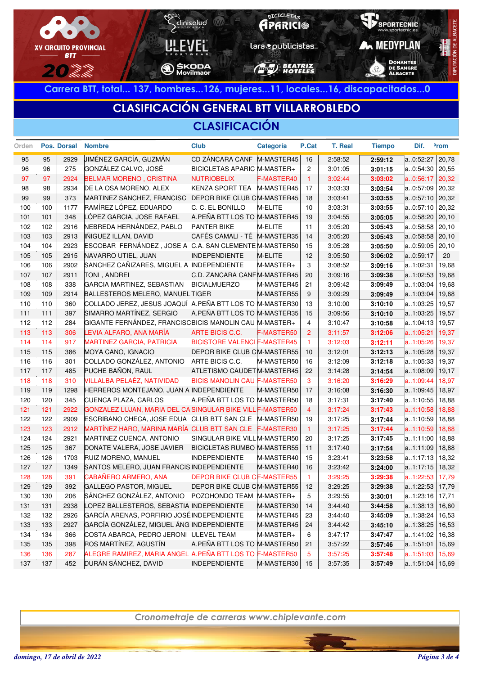

**Carrera BTT, total... 137, hombres...126, mujeres...11, locales...16, discapacitados...0**

# **CLASIFICACIÓN GENERAL BTT VILLARROBLEDO**

#### **CLASIFICACIÓN**

| Orden |     | Pos. Dorsal | <b>Nombre</b>                                             | <b>Club</b>                         | Categoría  | P.Cat          | T. Real | <b>Tiempo</b> | Dif.      | <sup>2</sup> rom |
|-------|-----|-------------|-----------------------------------------------------------|-------------------------------------|------------|----------------|---------|---------------|-----------|------------------|
| 95    | 95  | 2929        | JIMÉNEZ GARCÍA, GUZMÁN                                    | CD ZÁNCARA CANF M-MASTER45          |            | 16             | 2:58:52 | 2:59:12       | a0:52:27  | 20,78            |
| 96    | 96  | 275         | GONZÁLEZ CALVO, JOSÉ                                      | BICICLETAS APARIC M-MASTER+         |            | $\overline{c}$ | 3:01:05 | 3:01:15       | a0:54:30  | 20,55            |
| 97    | 97  | 2924        | <b>BELMAR MORENO, CRISTINA</b>                            | <b>NUTRIOBELIX</b>                  | F-MASTER40 | $\overline{1}$ | 3:02:44 | 3:03:02       | a0:56:17  | 20,32            |
| 98    | 98  | 2934        | DE LA OSA MORENO, ALEX                                    | <b>KENZA SPORT TEA</b>              | M-MASTER45 | 17             | 3:03:33 | 3:03:54       | a0:57:09  | 20,32            |
| 99    | 99  | 373         | MARTINEZ SANCHEZ, FRANCISC                                | <b>DEPOR BIKE CLUB CM-MASTER45</b>  |            | 18             | 3:03:41 | 3:03:55       | a0:57:10  | 20,32            |
| 100   | 100 | 1177        | RAMÍREZ LÓPEZ, EDUARDO                                    | C. C. EL BONILLO                    | M-ELITE    | 10             | 3:03:31 | 3:03:55       | a0:57:10  | 20,32            |
| 101   | 101 | 348         | LÓPEZ GARCIA, JOSE RAFAEL                                 | A.PEÑA BTT LOS TO M-MASTER45        |            | 19             | 3:04:55 | 3:05:05       | a0:58:20  | 20,10            |
| 102   | 102 | 2916        | NEBREDA HERNÁNDEZ, PABLO                                  | <b>PANTER BIKE</b>                  | M-ELITE    | 11             | 3:05:20 | 3:05:43       | a0:58:58  | 20,10            |
| 103   | 103 | 2913        | IÑIGUEZ ILLAN, DAVID                                      | CAFÉS CAMALI - TÉ M-MASTER35        |            | 14             | 3:05:20 | 3:05:43       | a0:58:58  | 20,10            |
| 104   | 104 | 2923        | ESCOBAR FERNÁNDEZ, JOSE A                                 | C.A. SAN CLEMENTE M-MASTER50        |            | 15             | 3:05:28 | 3:05:50       | a0:59:05  | 20,10            |
| 105   | 105 | 2915        | NAVARRO UTIEL, JUAN                                       | <b>INDEPENDIENTE</b>                | M-ELITE    | 12             | 3:05:50 | 3:06:02       | a0:59:17  | 20               |
| 106   | 106 | 2902        | SANCHEZ CAÑIZARES, MIGUEL A INDEPENDIENTE                 |                                     | M-MASTER+  | 3              | 3:08:52 | 3:09:16       | a1:02:31  | 19,68            |
| 107   | 107 | 2911        | TONI, ANDREI                                              | C.D. ZANCARA CANFM-MASTER45         |            | 20             | 3:09:16 | 3:09:38       | a1:02:53  | 19,68            |
| 108   | 108 | 338         | GARCIA MARTINEZ, SEBASTIAN                                | <b>BICIALMUERZO</b>                 | M-MASTER45 | 21             | 3:09:42 | 3:09:49       | a1:03:04  | 19,68            |
| 109   | 109 | 2914        | BALLESTEROS MELERO, MANUEL TIGER                          |                                     | M-MASTER55 | 9              | 3:09:29 | 3:09:49       | a1:03:04  | 19,68            |
| 110   | 110 | 360         | COLLADO JEREZ, JESUS JOAQUÍ A.PEÑA BTT LOS TO M-MASTER30  |                                     |            | 13             | 3:10:00 | 3:10:10       | a1:03:25  | 19,57            |
| 111   | 111 | 397         | SIMARRO MARTÍNEZ, SERGIO                                  | A.PEÑA BTT LOS TO M-MASTER35        |            | 15             | 3:09:56 | 3:10:10       | a1:03:25  | 19,57            |
| 112   | 112 | 284         | GIGANTE FERNÁNDEZ, FRANCISCBICIS MANOLIN CAU M-MASTER+    |                                     |            | 4              | 3:10:47 | 3:10:58       | a1:04:13  | 19,57            |
| 113   | 113 | 306         | LEVIA ALFARO, ANA MARÍA                                   | ARTE BICIS C.C.                     | F-MASTER50 | 2              | 3:11:57 | 3:12:06       | a.1:05:21 | 19,37            |
| 114   | 114 | 917         | <b>MARTINEZ GARCIA, PATRICIA</b>                          | <b>BICISTORE VALENCI F-MASTER45</b> |            | $\overline{1}$ | 3:12:03 | 3:12:11       | a.1:05:26 | 19,37            |
| 115   | 115 | 386         | MOYA CANO, IGNACIO                                        | <b>DEPOR BIKE CLUB CM-MASTER55</b>  |            | 10             | 3:12:01 | 3:12:13       | a1:05:28  | 19,37            |
| 116   | 116 | 301         | COLLADO GONZÁLEZ, ANTONIO                                 | ARTE BICIS C.C.                     | M-MASTER50 | 16             | 3:12:09 | 3:12:18       | a1:05:33  | 19,37            |
| 117   | 117 | 485         | PUCHE BAÑON, RAUL                                         | ATLETISMO CAUDETM-MASTER45          |            | 22             | 3:14:28 | 3:14:54       | a1:08:09  | 19,17            |
| 118   | 118 | 310         | VILLALBA PELAÉZ, NATIVIDAD                                | <b>BICIS MANOLIN CAU F-MASTER50</b> |            | 3              | 3:16:20 | 3:16:29       | a.1:09:44 | 18,97            |
| 119   | 119 | 1298        | HERREROS MONTEJANO, JUAN A INDEPENDIENTE                  |                                     | M-MASTER50 | 17             | 3:16:08 | 3:16:30       | a1:09:45  | 18,97            |
| 120   | 120 | 345         | CUENCA PLAZA, CARLOS                                      | A.PEÑA BTT LOS TO M-MASTER50        |            | 18             | 3:17:31 | 3:17:40       | a1:10:55  | 18,88            |
| 121   | 121 | 2922        | GONZALEZ LUJAN, MARIA DEL CASINGULAR BIKE VILL F-MASTER50 |                                     |            | $\overline{4}$ | 3:17:24 | 3:17:43       | a.1:10:58 | 18,88            |
| 122   | 122 | 2909        | ESCRIBANO CHECA, JOSE EDUA                                | CLUB BTT SAN CLE M-MASTER50         |            | 19             | 3:17:25 | 3:17:44       | a1:10:59  | 18,88            |
| 123   | 123 | 2912        | MARTÍNEZ HARO, MARINA MARÍA CLUB BTT SAN CLE F-MASTER30   |                                     |            | $\vert$ 1      | 3:17:25 | 3:17:44       | a1:10:59  | 18,88            |
| 124   | 124 | 2921        | MARTINEZ CUENCA, ANTONIO                                  | SINGULAR BIKE VILL M-MASTER50       |            | 20             | 3:17:25 | 3:17:45       | a1:11:00  | 18,88            |
| 125   | 125 | 367         | DONATE VALERA, JOSE JAVIER                                | <b>BICICLETAS RUMBO M-MASTER55</b>  |            | 11             | 3:17:40 | 3:17:54       | a1:11:09  | 18,88            |
| 126   | 126 | 1703        | RUIZ MORENO, MANUEL                                       | <b>INDEPENDIENTE</b>                | M-MASTER40 | 15             | 3:23:41 | 3:23:58       | a1:17:13  | 18,32            |
| 127   | 127 | 1349        | SANTOS MELERO, JUAN FRANCIS INDEPENDIENTE                 |                                     | M-MASTER40 | 16             | 3:23:42 | 3:24:00       | a1:17:15  | 18,32            |
| 128   | 128 | 391         | CABAÑERO ARMERO, ANA                                      | <b>DEPOR BIKE CLUB CF-MASTER55</b>  |            | $\overline{1}$ | 3:29:25 | 3:29:38       | a1:22:53  | 17,79            |
| 129   | 129 | 392         | GALLEGO PASTOR, MIGUEL                                    | <b>DEPOR BIKE CLUB CM-MASTER55</b>  |            | 12             | 3:29:25 | 3:29:38       | a1:22:53  | 17,79            |
| 130   | 130 | 206         | SÁNCHEZ GONZÁLEZ, ANTONIO                                 | POZOHONDO TEAM M-MASTER+            |            | 5              | 3:29:55 | 3:30:01       | a1:23:16  | 17,71            |
| 131   | 131 | 2938        | LOPEZ BALLESTEROS, SEBASTIA INDEPENDIENTE                 |                                     | M-MASTER30 | 14             | 3:44:40 | 3:44:58       | a1:38:13  | 16,60            |
| 132   | 132 | 2926        | GARCÍA ARENAS, PORFIRIO JOSÉ INDEPENDIENTE                |                                     | M-MASTER45 | 23             | 3:44:40 | 3:45:09       | a1:38:24  | 16,53            |
| 133   | 133 | 2927        | GARCÍA GONZÁLEZ, MIGUEL ÁNG INDEPENDIENTE                 |                                     | M-MASTER45 | 24             | 3:44:42 | 3:45:10       | a1:38:25  | 16,53            |
| 134   | 134 | 366         | COSTA ABARCA, PEDRO JERONI ULEVEL TEAM                    |                                     | M-MASTER+  | 6              | 3:47:17 | 3:47:47       | a1:41:02  | 16,38            |
| 135   | 135 | 398         | ROS MARTÍNEZ, AGUSTÍN                                     | A.PEÑA BTT LOS TO M-MASTER50        |            | 21             | 3:57:22 | 3:57:46       | a1:51:01  | 15,69            |
| 136   | 136 | 287         | ALEGRE RAMIREZ, MARIA ANGEL A.PEÑA BTT LOS TO F-MASTER50  |                                     |            | 5              | 3:57:25 | 3:57:48       | a.1:51:03 | 15,69            |
| 137   | 137 | 452         | DURÁN SÁNCHEZ, DAVID                                      | <b>INDEPENDIENTE</b>                | M-MASTER30 | 15             | 3:57:35 | 3:57:49       | a.1:51:04 | 15,69            |